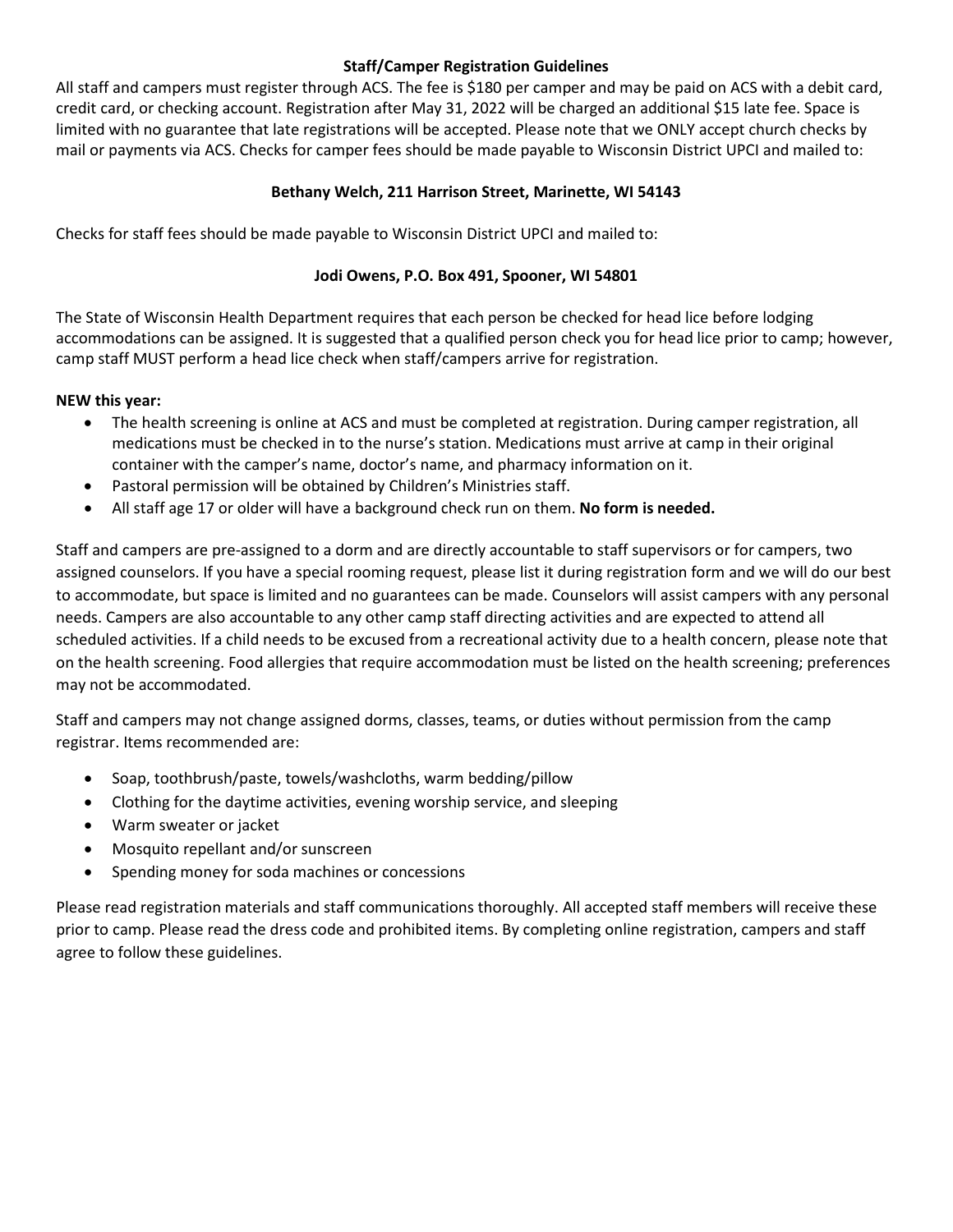#### **Staff/Camper Registration Guidelines**

All staff and campers must register through ACS. The fee is \$180 per camper and may be paid on ACS with a debit card, credit card, or checking account. Registration after May 31, 2022 will be charged an additional \$15 late fee. Space is limited with no guarantee that late registrations will be accepted. Please note that we ONLY accept church checks by mail or payments via ACS. Checks for camper fees should be made payable to Wisconsin District UPCI and mailed to:

### **Bethany Welch, 211 Harrison Street, Marinette, WI 54143**

Checks for staff fees should be made payable to Wisconsin District UPCI and mailed to:

#### **Jodi Owens, P.O. Box 491, Spooner, WI 54801**

The State of Wisconsin Health Department requires that each person be checked for head lice before lodging accommodations can be assigned. It is suggested that a qualified person check you for head lice prior to camp; however, camp staff MUST perform a head lice check when staff/campers arrive for registration.

#### **NEW this year:**

- The health screening is online at ACS and must be completed at registration. During camper registration, all medications must be checked in to the nurse's station. Medications must arrive at camp in their original container with the camper's name, doctor's name, and pharmacy information on it.
- Pastoral permission will be obtained by Children's Ministries staff.
- All staff age 17 or older will have a background check run on them. **No form is needed.**

Staff and campers are pre-assigned to a dorm and are directly accountable to staff supervisors or for campers, two assigned counselors. If you have a special rooming request, please list it during registration form and we will do our best to accommodate, but space is limited and no guarantees can be made. Counselors will assist campers with any personal needs. Campers are also accountable to any other camp staff directing activities and are expected to attend all scheduled activities. If a child needs to be excused from a recreational activity due to a health concern, please note that on the health screening. Food allergies that require accommodation must be listed on the health screening; preferences may not be accommodated.

Staff and campers may not change assigned dorms, classes, teams, or duties without permission from the camp registrar. Items recommended are:

- Soap, toothbrush/paste, towels/washcloths, warm bedding/pillow
- Clothing for the daytime activities, evening worship service, and sleeping
- Warm sweater or jacket
- Mosquito repellant and/or sunscreen
- Spending money for soda machines or concessions

Please read registration materials and staff communications thoroughly. All accepted staff members will receive these prior to camp. Please read the dress code and prohibited items. By completing online registration, campers and staff agree to follow these guidelines.